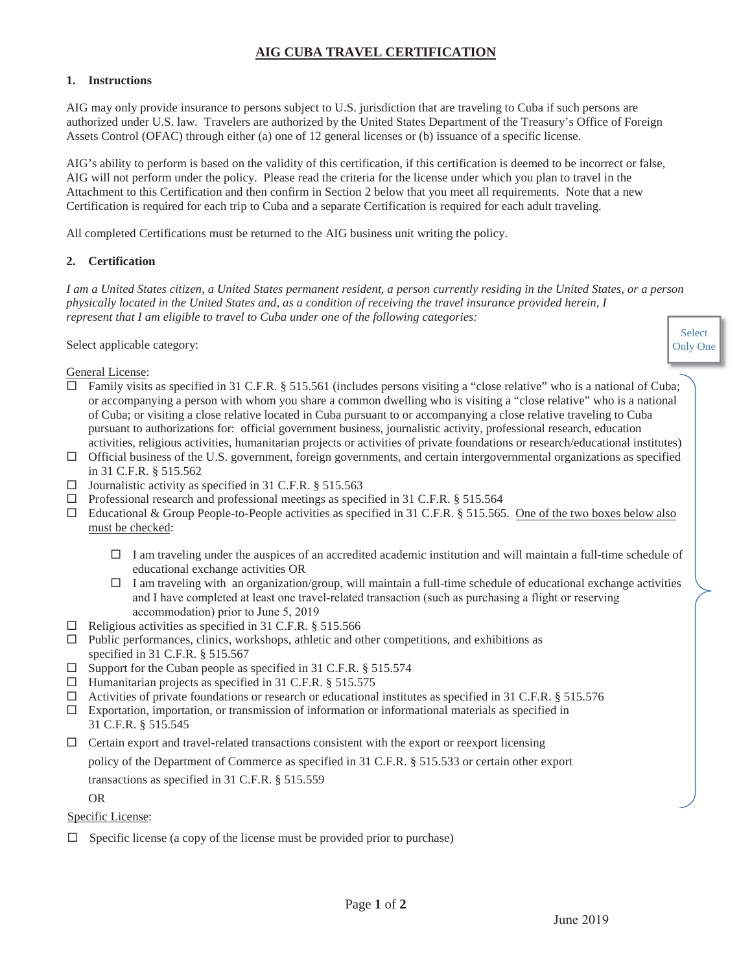## **AIG CUBA TRAVEL CERTIFICATION**

### **1. Instructions**

AIG may only provide insurance to persons subject to U.S. jurisdiction that are traveling to Cuba if such persons are authorized under U.S. law. Travelers are authorized by the United States Department of the Treasury's Office of Foreign Assets Control (OFAC) through either (a) one of 12 general licenses or (b) issuance of a specific license.

AIG's ability to perform is based on the validity of this certification, if this certification is deemed to be incorrect or false, AIG will not perform under the policy. Please read the criteria for the license under which you plan to travel in the Attachment to this Certification and then confirm in Section 2 below that you meet all requirements. Note that a new Certification is required for each trip to Cuba and a separate Certification is required for each adult traveling.

All completed Certifications must be returned to the AIG business unit writing the policy.

### **2. Certification**

*I am a United States citizen, a United States permanent resident, a person currently residing in the United States, or a person physically located in the United States and, as a condition of receiving the travel insurance provided herein, I represent that I am eligible to travel to Cuba under one of the following categories:*

Select applicable category:

General License:

- $\Box$  Family visits as specified in 31 C.F.R. § 515.561 (includes persons visiting a "close relative" who is a national of Cuba; or accompanying a person with whom you share a common dwelling who is visiting a "close relative" who is a national of Cuba; or visiting a close relative located in Cuba pursuant to or accompanying a close relative traveling to Cuba pursuant to authorizations for: official government business, journalistic activity, professional research, education activities, religious activities, humanitarian projects or activities of private foundations or research/educational institutes)
- $\Box$  Official business of the U.S. government, foreign governments, and certain intergovernmental organizations as specified in 31 C.F.R. § 515.562
- $\Box$  Journalistic activity as specified in 31 C.F.R. § 515.563
- $\Box$  Professional research and professional meetings as specified in 31 C.F.R. § 515.564
- $\Box$  Educational & Group People-to-People activities as specified in 31 C.F.R. § 515.565. One of the two boxes below also must be checked:
	- $\Box$  I am traveling under the auspices of an accredited academic institution and will maintain a full-time schedule of educational exchange activities OR
	- $\Box$  I am traveling with an organization/group, will maintain a full-time schedule of educational exchange activities and I have completed at least one travel-related transaction (such as purchasing a flight or reserving accommodation) prior to June 5, 2019
- $\Box$  Religious activities as specified in 31 C.F.R. § 515.566
- $\Box$  Public performances, clinics, workshops, athletic and other competitions, and exhibitions as specified in 31 C.F.R. § 515.567
- $\square$  Support for the Cuban people as specified in 31 C.F.R. § 515.574
- $\Box$  Humanitarian projects as specified in 31 C.F.R. § 515.575
- $\Box$  Activities of private foundations or research or educational institutes as specified in 31 C.F.R. § 515.576
- $\square$  Exportation, importation, or transmission of information or informational materials as specified in 31 C.F.R. § 515.545
- $\Box$  Certain export and travel-related transactions consistent with the export or reexport licensing

policy of the Department of Commerce as specified in 31 C.F.R. § 515.533 or certain other export transactions as specified in 31 C.F.R. § 515.559

OR

Specific License:

 $\Box$  Specific license (a copy of the license must be provided prior to purchase)

Select Only One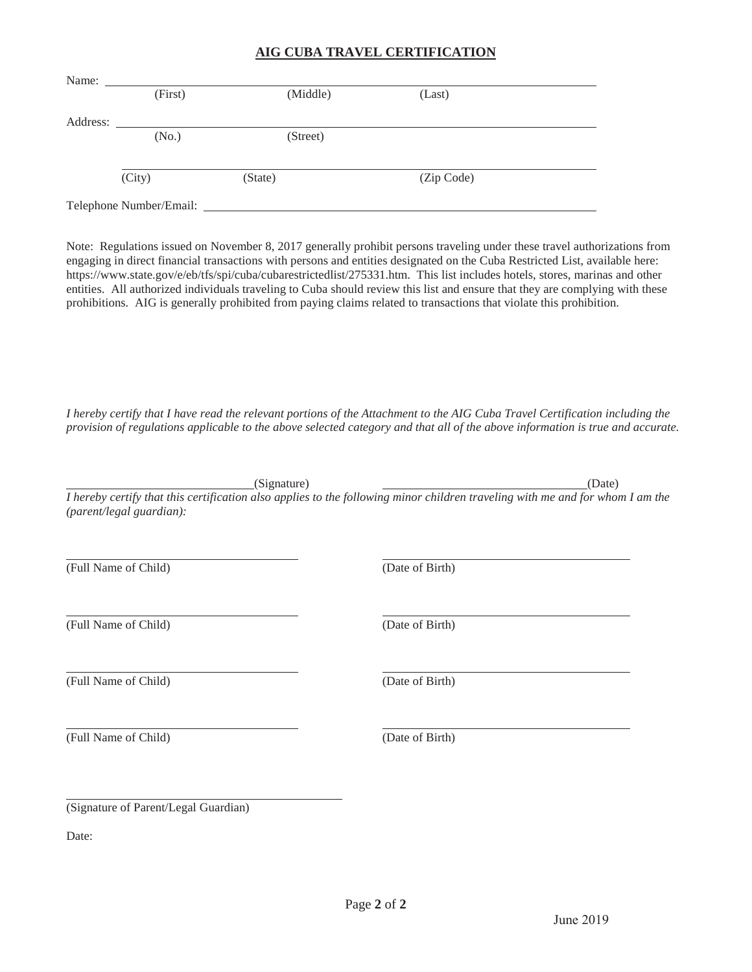## **AIG CUBA TRAVEL CERTIFICATION**

| Name:    |                         |          |            |  |
|----------|-------------------------|----------|------------|--|
|          | (First)                 | (Middle) | (Last)     |  |
|          |                         |          |            |  |
| Address: |                         |          |            |  |
|          | (No.)                   | (Street) |            |  |
|          |                         |          |            |  |
|          | (City)                  | (State)  | (Zip Code) |  |
|          |                         |          |            |  |
|          | Telephone Number/Email: |          |            |  |

Note: Regulations issued on November 8, 2017 generally prohibit persons traveling under these travel authorizations from engaging in direct financial transactions with persons and entities designated on the Cuba Restricted List, available here: https://www.state.gov/e/eb/tfs/spi/cuba/cubarestrictedlist/275331.htm. This list includes hotels, stores, marinas and other entities. All authorized individuals traveling to Cuba should review this list and ensure that they are complying with these prohibitions. AIG is generally prohibited from paying claims related to transactions that violate this prohibition.

*I hereby certify that I have read the relevant portions of the Attachment to the AIG Cuba Travel Certification including the provision of regulations applicable to the above selected category and that all of the above information is true and accurate.*

(Signature) (Date)

*I hereby certify that this certification also applies to the following minor children traveling with me and for whom I am the (parent/legal guardian):*

(Full Name of Child)

(Full Name of Child)

(Full Name of Child)

(Full Name of Child)

(Date of Birth)

(Date of Birth)

(Date of Birth)

(Date of Birth)

(Signature of Parent/Legal Guardian)

Date: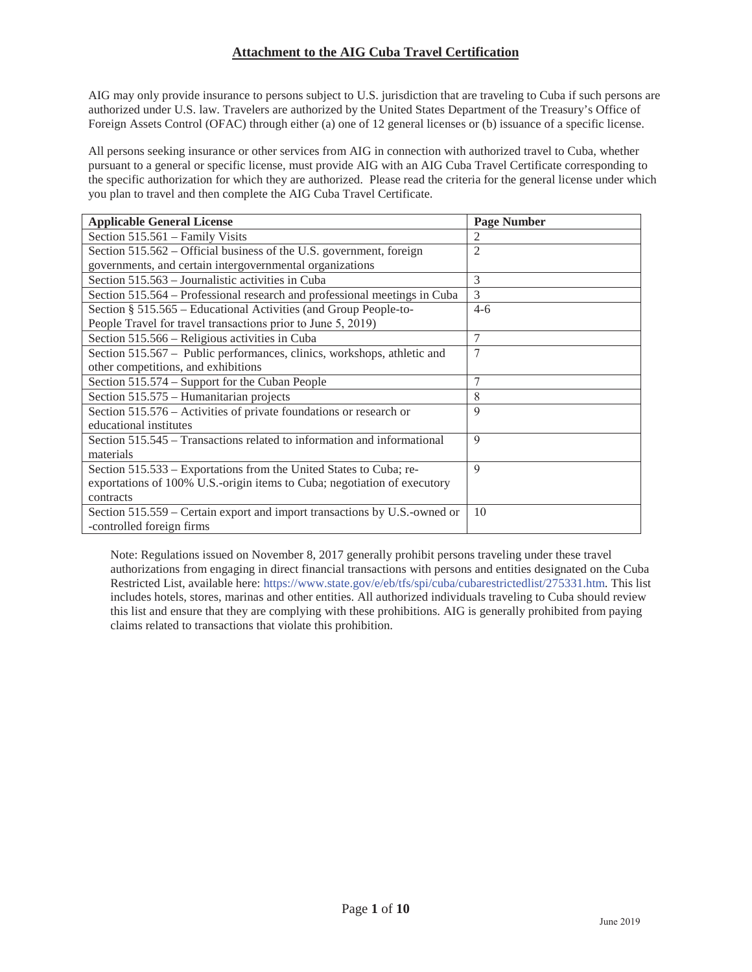AIG may only provide insurance to persons subject to U.S. jurisdiction that are traveling to Cuba if such persons are authorized under U.S. law. Travelers are authorized by the United States Department of the Treasury's Office of Foreign Assets Control (OFAC) through either (a) one of 12 general licenses or (b) issuance of a specific license.

All persons seeking insurance or other services from AIG in connection with authorized travel to Cuba, whether pursuant to a general or specific license, must provide AIG with an AIG Cuba Travel Certificate corresponding to the specific authorization for which they are authorized. Please read the criteria for the general license under which you plan to travel and then complete the AIG Cuba Travel Certificate.

| <b>Applicable General License</b>                                         | <b>Page Number</b> |
|---------------------------------------------------------------------------|--------------------|
| Section 515.561 – Family Visits                                           | $\mathfrak{D}$     |
| Section 515.562 – Official business of the U.S. government, foreign       | 2                  |
| governments, and certain intergovernmental organizations                  |                    |
| Section 515.563 – Journalistic activities in Cuba                         | 3                  |
| Section 515.564 – Professional research and professional meetings in Cuba | 3                  |
| Section § 515.565 – Educational Activities (and Group People-to-          | $4 - 6$            |
| People Travel for travel transactions prior to June 5, 2019)              |                    |
| Section 515.566 – Religious activities in Cuba                            | $\overline{7}$     |
| Section 515.567 - Public performances, clinics, workshops, athletic and   | 7                  |
| other competitions, and exhibitions                                       |                    |
| Section 515.574 – Support for the Cuban People                            |                    |
| Section 515.575 - Humanitarian projects                                   | 8                  |
| Section 515.576 - Activities of private foundations or research or        | 9                  |
| educational institutes                                                    |                    |
| Section 515.545 – Transactions related to information and informational   | 9                  |
| materials                                                                 |                    |
| Section 515.533 – Exportations from the United States to Cuba; re-        | $\mathbf Q$        |
| exportations of 100% U.S.-origin items to Cuba; negotiation of executory  |                    |
| contracts                                                                 |                    |
| Section 515.559 – Certain export and import transactions by U.S.-owned or | 10                 |
| -controlled foreign firms                                                 |                    |

Note: Regulations issued on November 8, 2017 generally prohibit persons traveling under these travel authorizations from engaging in direct financial transactions with persons and entities designated on the Cuba Restricted List, available here: https://www.state.gov/e/eb/tfs/spi/cuba/cubarestrictedlist/275331.htm. This list includes hotels, stores, marinas and other entities. All authorized individuals traveling to Cuba should review this list and ensure that they are complying with these prohibitions. AIG is generally prohibited from paying claims related to transactions that violate this prohibition.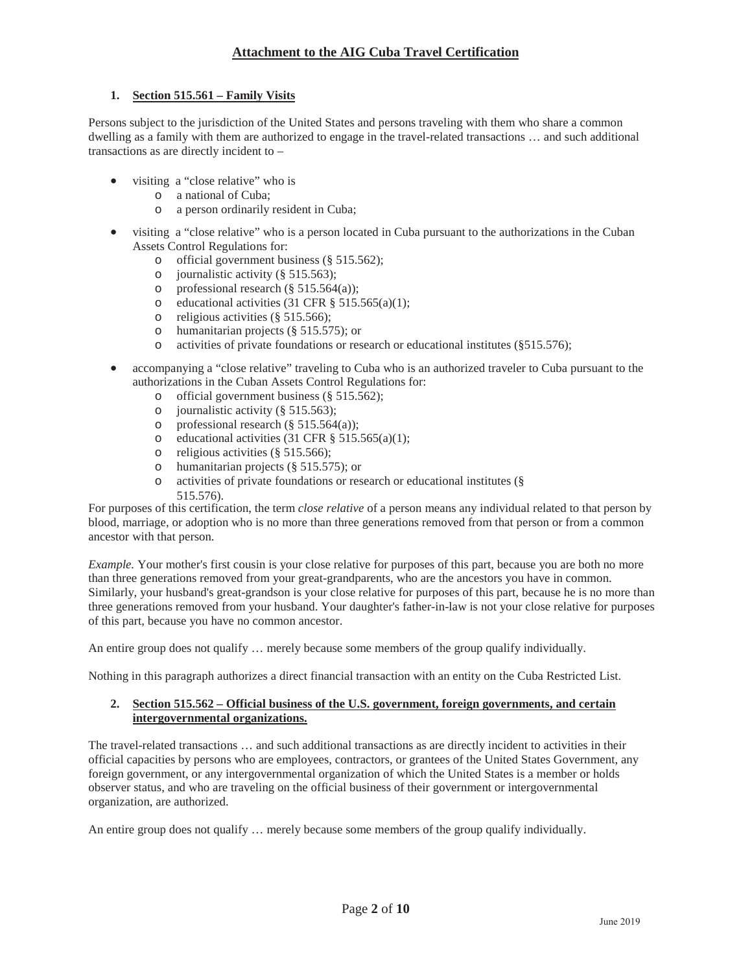### **1. Section 515.561 – Family Visits**

Persons subject to the jurisdiction of the United States and persons traveling with them who share a common dwelling as a family with them are authorized to engage in the travel-related transactions … and such additional transactions as are directly incident to –

- visiting a "close relative" who is
	- o a national of Cuba;
	- o a person ordinarily resident in Cuba;
- x visiting a "close relative" who is a person located in Cuba pursuant to the authorizations in the Cuban Assets Control Regulations for:
	- o official government business (§ 515.562);
	- o journalistic activity (§ 515.563);
	- o professional research (§ 515.564(a));
	- o educational activities (31 CFR  $\S$  515.565(a)(1);
	- o religious activities (§ 515.566);
	- o humanitarian projects (§ 515.575); or
	- o activities of private foundations or research or educational institutes (§515.576);
- accompanying a "close relative" traveling to Cuba who is an authorized traveler to Cuba pursuant to the authorizations in the Cuban Assets Control Regulations for:
	- o official government business (§ 515.562);
	- o journalistic activity (§ 515.563);
	- o professional research  $(\S 515.564(a))$ ;
	- o educational activities (31 CFR  $\S$  515.565(a)(1);
	- o religious activities (§ 515.566);
	- o humanitarian projects (§ 515.575); or
	- o activities of private foundations or research or educational institutes (§ 515.576).

For purposes of this certification, the term *close relative* of a person means any individual related to that person by blood, marriage, or adoption who is no more than three generations removed from that person or from a common ancestor with that person.

*Example.* Your mother's first cousin is your close relative for purposes of this part, because you are both no more than three generations removed from your great-grandparents, who are the ancestors you have in common. Similarly, your husband's great-grandson is your close relative for purposes of this part, because he is no more than three generations removed from your husband. Your daughter's father-in-law is not your close relative for purposes of this part, because you have no common ancestor.

An entire group does not qualify … merely because some members of the group qualify individually.

Nothing in this paragraph authorizes a direct financial transaction with an entity on the Cuba Restricted List.

### **2. Section 515.562 – Official business of the U.S. government, foreign governments, and certain intergovernmental organizations.**

The travel-related transactions … and such additional transactions as are directly incident to activities in their official capacities by persons who are employees, contractors, or grantees of the United States Government, any foreign government, or any intergovernmental organization of which the United States is a member or holds observer status, and who are traveling on the official business of their government or intergovernmental organization, are authorized.

An entire group does not qualify … merely because some members of the group qualify individually.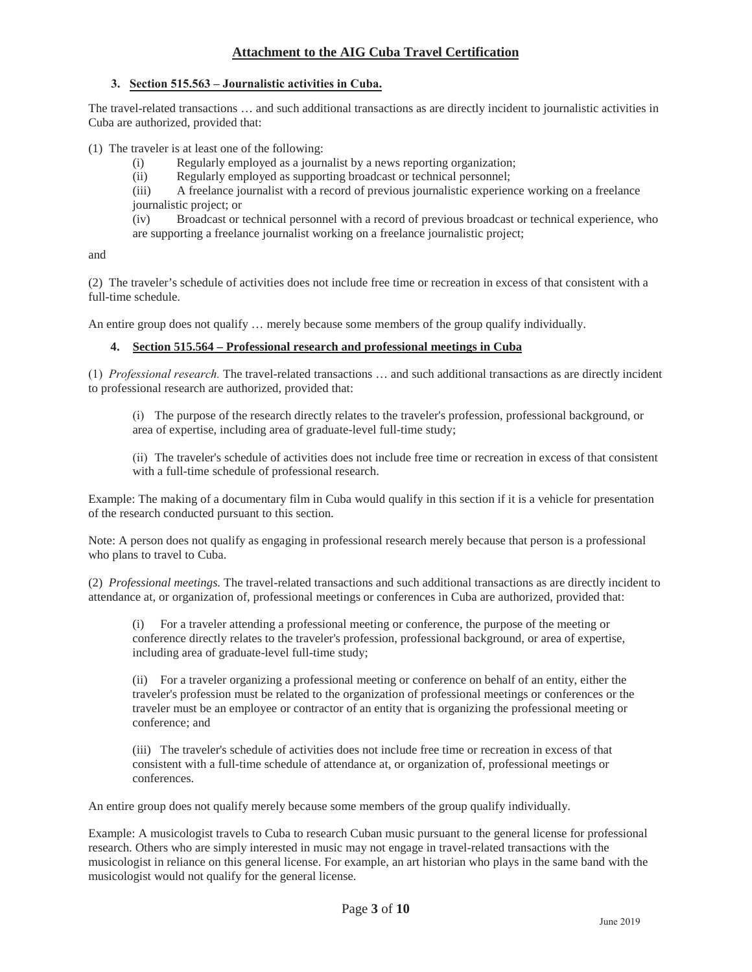### **3. Section 515.563 – Journalistic activities in Cuba.**

The travel-related transactions … and such additional transactions as are directly incident to journalistic activities in Cuba are authorized, provided that:

(1) The traveler is at least one of the following:

- (i) Regularly employed as a journalist by a news reporting organization;
- (ii) Regularly employed as supporting broadcast or technical personnel;

(iii) A freelance journalist with a record of previous journalistic experience working on a freelance journalistic project; or

(iv) Broadcast or technical personnel with a record of previous broadcast or technical experience, who are supporting a freelance journalist working on a freelance journalistic project;

and

(2) The traveler's schedule of activities does not include free time or recreation in excess of that consistent with a full-time schedule.

An entire group does not qualify … merely because some members of the group qualify individually.

### **4. Section 515.564 – Professional research and professional meetings in Cuba**

(1) *Professional research.* The travel-related transactions … and such additional transactions as are directly incident to professional research are authorized, provided that:

(i) The purpose of the research directly relates to the traveler's profession, professional background, or area of expertise, including area of graduate-level full-time study;

(ii) The traveler's schedule of activities does not include free time or recreation in excess of that consistent with a full-time schedule of professional research.

Example: The making of a documentary film in Cuba would qualify in this section if it is a vehicle for presentation of the research conducted pursuant to this section.

Note: A person does not qualify as engaging in professional research merely because that person is a professional who plans to travel to Cuba.

(2) *Professional meetings.* The travel-related transactions and such additional transactions as are directly incident to attendance at, or organization of, professional meetings or conferences in Cuba are authorized, provided that:

(i) For a traveler attending a professional meeting or conference, the purpose of the meeting or conference directly relates to the traveler's profession, professional background, or area of expertise, including area of graduate-level full-time study;

(ii) For a traveler organizing a professional meeting or conference on behalf of an entity, either the traveler's profession must be related to the organization of professional meetings or conferences or the traveler must be an employee or contractor of an entity that is organizing the professional meeting or conference; and

(iii) The traveler's schedule of activities does not include free time or recreation in excess of that consistent with a full-time schedule of attendance at, or organization of, professional meetings or conferences.

An entire group does not qualify merely because some members of the group qualify individually.

Example: A musicologist travels to Cuba to research Cuban music pursuant to the general license for professional research. Others who are simply interested in music may not engage in travel-related transactions with the musicologist in reliance on this general license. For example, an art historian who plays in the same band with the musicologist would not qualify for the general license.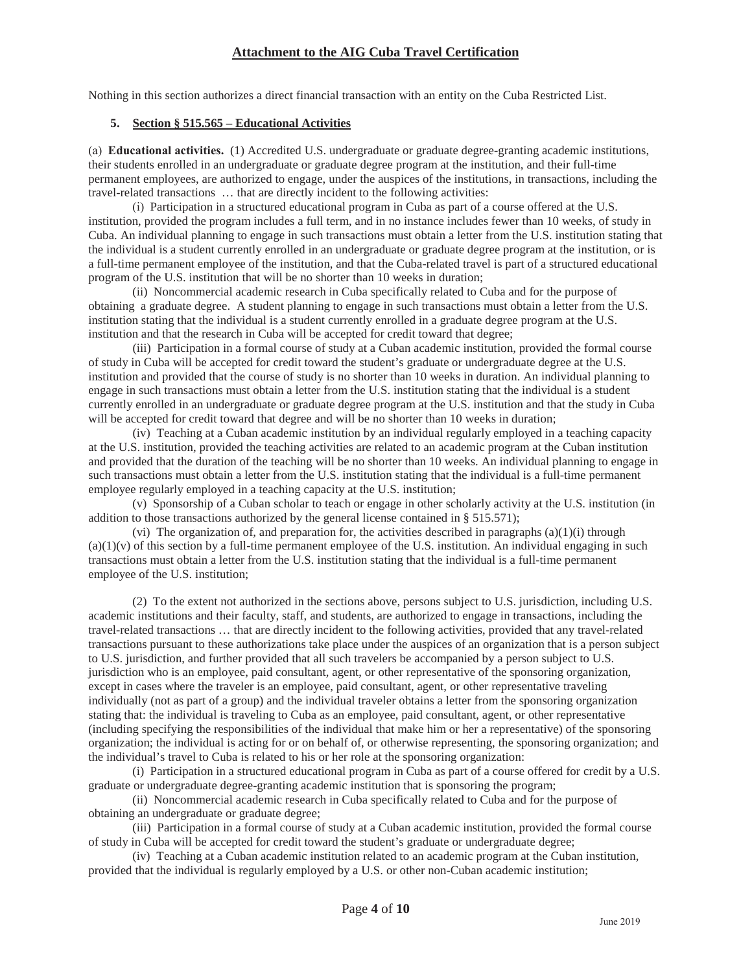Nothing in this section authorizes a direct financial transaction with an entity on the Cuba Restricted List.

### **5. Section § 515.565 – Educational Activities**

(a) **Educational activities.** (1) Accredited U.S. undergraduate or graduate degree-granting academic institutions, their students enrolled in an undergraduate or graduate degree program at the institution, and their full-time permanent employees, are authorized to engage, under the auspices of the institutions, in transactions, including the travel-related transactions … that are directly incident to the following activities:

(i) Participation in a structured educational program in Cuba as part of a course offered at the U.S. institution, provided the program includes a full term, and in no instance includes fewer than 10 weeks, of study in Cuba. An individual planning to engage in such transactions must obtain a letter from the U.S. institution stating that the individual is a student currently enrolled in an undergraduate or graduate degree program at the institution, or is a full-time permanent employee of the institution, and that the Cuba-related travel is part of a structured educational program of the U.S. institution that will be no shorter than 10 weeks in duration;

(ii) Noncommercial academic research in Cuba specifically related to Cuba and for the purpose of obtaining a graduate degree. A student planning to engage in such transactions must obtain a letter from the U.S. institution stating that the individual is a student currently enrolled in a graduate degree program at the U.S. institution and that the research in Cuba will be accepted for credit toward that degree;

(iii) Participation in a formal course of study at a Cuban academic institution, provided the formal course of study in Cuba will be accepted for credit toward the student's graduate or undergraduate degree at the U.S. institution and provided that the course of study is no shorter than 10 weeks in duration. An individual planning to engage in such transactions must obtain a letter from the U.S. institution stating that the individual is a student currently enrolled in an undergraduate or graduate degree program at the U.S. institution and that the study in Cuba will be accepted for credit toward that degree and will be no shorter than 10 weeks in duration;

(iv) Teaching at a Cuban academic institution by an individual regularly employed in a teaching capacity at the U.S. institution, provided the teaching activities are related to an academic program at the Cuban institution and provided that the duration of the teaching will be no shorter than 10 weeks. An individual planning to engage in such transactions must obtain a letter from the U.S. institution stating that the individual is a full-time permanent employee regularly employed in a teaching capacity at the U.S. institution;

(v) Sponsorship of a Cuban scholar to teach or engage in other scholarly activity at the U.S. institution (in addition to those transactions authorized by the general license contained in § 515.571);

(vi) The organization of, and preparation for, the activities described in paragraphs  $(a)(1)(i)$  through  $(a)(1)(v)$  of this section by a full-time permanent employee of the U.S. institution. An individual engaging in such transactions must obtain a letter from the U.S. institution stating that the individual is a full-time permanent employee of the U.S. institution;

(2) To the extent not authorized in the sections above, persons subject to U.S. jurisdiction, including U.S. academic institutions and their faculty, staff, and students, are authorized to engage in transactions, including the travel-related transactions … that are directly incident to the following activities, provided that any travel-related transactions pursuant to these authorizations take place under the auspices of an organization that is a person subject to U.S. jurisdiction, and further provided that all such travelers be accompanied by a person subject to U.S. jurisdiction who is an employee, paid consultant, agent, or other representative of the sponsoring organization, except in cases where the traveler is an employee, paid consultant, agent, or other representative traveling individually (not as part of a group) and the individual traveler obtains a letter from the sponsoring organization stating that: the individual is traveling to Cuba as an employee, paid consultant, agent, or other representative (including specifying the responsibilities of the individual that make him or her a representative) of the sponsoring organization; the individual is acting for or on behalf of, or otherwise representing, the sponsoring organization; and the individual's travel to Cuba is related to his or her role at the sponsoring organization:

(i) Participation in a structured educational program in Cuba as part of a course offered for credit by a U.S. graduate or undergraduate degree-granting academic institution that is sponsoring the program;

(ii) Noncommercial academic research in Cuba specifically related to Cuba and for the purpose of obtaining an undergraduate or graduate degree;

(iii) Participation in a formal course of study at a Cuban academic institution, provided the formal course of study in Cuba will be accepted for credit toward the student's graduate or undergraduate degree;

(iv) Teaching at a Cuban academic institution related to an academic program at the Cuban institution, provided that the individual is regularly employed by a U.S. or other non-Cuban academic institution;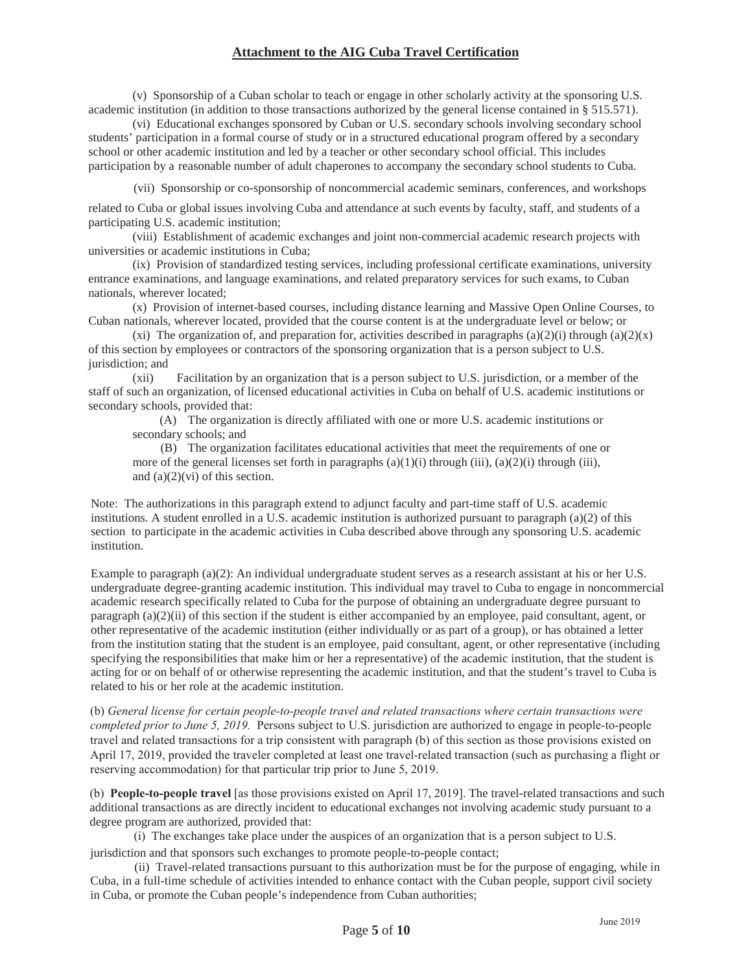(v) Sponsorship of a Cuban scholar to teach or engage in other scholarly activity at the sponsoring U.S. academic institution (in addition to those transactions authorized by the general license contained in § 515.571).

(vi) Educational exchanges sponsored by Cuban or U.S. secondary schools involving secondary school students' participation in a formal course of study or in a structured educational program offered by a secondary school or other academic institution and led by a teacher or other secondary school official. This includes participation by a reasonable number of adult chaperones to accompany the secondary school students to Cuba.

(vii) Sponsorship or co-sponsorship of noncommercial academic seminars, conferences, and workshops

related to Cuba or global issues involving Cuba and attendance at such events by faculty, staff, and students of a participating U.S. academic institution;

(viii) Establishment of academic exchanges and joint non-commercial academic research projects with universities or academic institutions in Cuba;

(ix) Provision of standardized testing services, including professional certificate examinations, university entrance examinations, and language examinations, and related preparatory services for such exams, to Cuban nationals, wherever located;

(x) Provision of internet-based courses, including distance learning and Massive Open Online Courses, to Cuban nationals, wherever located, provided that the course content is at the undergraduate level or below; or

(xi) The organization of, and preparation for, activities described in paragraphs (a)(2)(i) through (a)(2)(x) of this section by employees or contractors of the sponsoring organization that is a person subject to U.S. jurisdiction; and

(xii) Facilitation by an organization that is a person subject to U.S. jurisdiction, or a member of the staff of such an organization, of licensed educational activities in Cuba on behalf of U.S. academic institutions or secondary schools, provided that:

(A) The organization is directly affiliated with one or more U.S. academic institutions or secondary schools; and

(B) The organization facilitates educational activities that meet the requirements of one or more of the general licenses set forth in paragraphs  $(a)(1)(i)$  through  $(iii)$ ,  $(a)(2)(i)$  through  $(iii)$ , and  $(a)(2)(vi)$  of this section.

Note: The authorizations in this paragraph extend to adjunct faculty and part-time staff of U.S. academic institutions. A student enrolled in a U.S. academic institution is authorized pursuant to paragraph (a)(2) of this section to participate in the academic activities in Cuba described above through any sponsoring U.S. academic institution.

Example to paragraph (a)(2): An individual undergraduate student serves as a research assistant at his or her U.S. undergraduate degree-granting academic institution. This individual may travel to Cuba to engage in noncommercial academic research specifically related to Cuba for the purpose of obtaining an undergraduate degree pursuant to paragraph (a)(2)(ii) of this section if the student is either accompanied by an employee, paid consultant, agent, or other representative of the academic institution (either individually or as part of a group), or has obtained a letter from the institution stating that the student is an employee, paid consultant, agent, or other representative (including specifying the responsibilities that make him or her a representative) of the academic institution, that the student is acting for or on behalf of or otherwise representing the academic institution, and that the student's travel to Cuba is related to his or her role at the academic institution.

(b) *General license for certain people-to-people travel and related transactions where certain transactions were completed prior to June 5, 2019.* Persons subject to U.S. jurisdiction are authorized to engage in people-to-people travel and related transactions for a trip consistent with paragraph (b) of this section as those provisions existed on April 17, 2019, provided the traveler completed at least one travel-related transaction (such as purchasing a flight or reserving accommodation) for that particular trip prior to June 5, 2019.

(b) **People-to-people travel** [as those provisions existed on April 17, 2019]. The travel-related transactions and such additional transactions as are directly incident to educational exchanges not involving academic study pursuant to a degree program are authorized, provided that:

(i) The exchanges take place under the auspices of an organization that is a person subject to U.S. jurisdiction and that sponsors such exchanges to promote people-to-people contact;

(ii) Travel-related transactions pursuant to this authorization must be for the purpose of engaging, while in Cuba, in a full-time schedule of activities intended to enhance contact with the Cuban people, support civil society in Cuba, or promote the Cuban people's independence from Cuban authorities;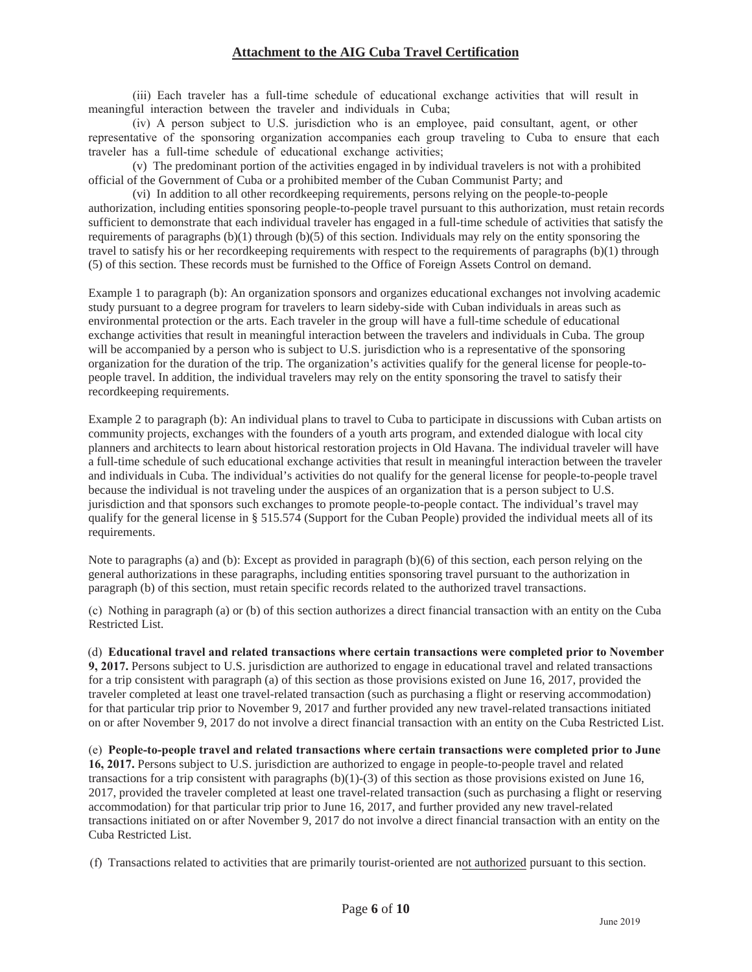(iii) Each traveler has a full-time schedule of educational exchange activities that will result in meaningful interaction between the traveler and individuals in Cuba;

(iv) A person subject to U.S. jurisdiction who is an employee, paid consultant, agent, or other representative of the sponsoring organization accompanies each group traveling to Cuba to ensure that each traveler has a full-time schedule of educational exchange activities;

(v) The predominant portion of the activities engaged in by individual travelers is not with a prohibited official of the Government of Cuba or a prohibited member of the Cuban Communist Party; and

(vi) In addition to all other recordkeeping requirements, persons relying on the people-to-people authorization, including entities sponsoring people-to-people travel pursuant to this authorization, must retain records sufficient to demonstrate that each individual traveler has engaged in a full-time schedule of activities that satisfy the requirements of paragraphs  $(b)(1)$  through  $(b)(5)$  of this section. Individuals may rely on the entity sponsoring the travel to satisfy his or her recordkeeping requirements with respect to the requirements of paragraphs (b)(1) through (5) of this section. These records must be furnished to the Office of Foreign Assets Control on demand.

Example 1 to paragraph (b): An organization sponsors and organizes educational exchanges not involving academic study pursuant to a degree program for travelers to learn sideby-side with Cuban individuals in areas such as environmental protection or the arts. Each traveler in the group will have a full-time schedule of educational exchange activities that result in meaningful interaction between the travelers and individuals in Cuba. The group will be accompanied by a person who is subject to U.S. jurisdiction who is a representative of the sponsoring organization for the duration of the trip. The organization's activities qualify for the general license for people-topeople travel. In addition, the individual travelers may rely on the entity sponsoring the travel to satisfy their recordkeeping requirements.

Example 2 to paragraph (b): An individual plans to travel to Cuba to participate in discussions with Cuban artists on community projects, exchanges with the founders of a youth arts program, and extended dialogue with local city planners and architects to learn about historical restoration projects in Old Havana. The individual traveler will have a full-time schedule of such educational exchange activities that result in meaningful interaction between the traveler and individuals in Cuba. The individual's activities do not qualify for the general license for people-to-people travel because the individual is not traveling under the auspices of an organization that is a person subject to U.S. jurisdiction and that sponsors such exchanges to promote people-to-people contact. The individual's travel may qualify for the general license in § 515.574 (Support for the Cuban People) provided the individual meets all of its requirements.

Note to paragraphs (a) and (b): Except as provided in paragraph (b)(6) of this section, each person relying on the general authorizations in these paragraphs, including entities sponsoring travel pursuant to the authorization in paragraph (b) of this section, must retain specific records related to the authorized travel transactions.

(c) Nothing in paragraph (a) or (b) of this section authorizes a direct financial transaction with an entity on the Cuba Restricted List.

# (d) **Educational travel and related transactions where certain transactions were completed prior to November**

**9, 2017.** Persons subject to U.S. jurisdiction are authorized to engage in educational travel and related transactions for a trip consistent with paragraph (a) of this section as those provisions existed on June 16, 2017, provided the traveler completed at least one travel-related transaction (such as purchasing a flight or reserving accommodation) for that particular trip prior to November 9, 2017 and further provided any new travel-related transactions initiated on or after November 9, 2017 do not involve a direct financial transaction with an entity on the Cuba Restricted List.

(e) **People-to-people travel and related transactions where certain transactions were completed prior to June 16, 2017.** Persons subject to U.S. jurisdiction are authorized to engage in people-to-people travel and related transactions for a trip consistent with paragraphs (b)(1)-(3) of this section as those provisions existed on June 16, 2017, provided the traveler completed at least one travel-related transaction (such as purchasing a flight or reserving accommodation) for that particular trip prior to June 16, 2017, and further provided any new travel-related transactions initiated on or after November 9, 2017 do not involve a direct financial transaction with an entity on the Cuba Restricted List.

(f) Transactions related to activities that are primarily tourist-oriented are not authorized pursuant to this section.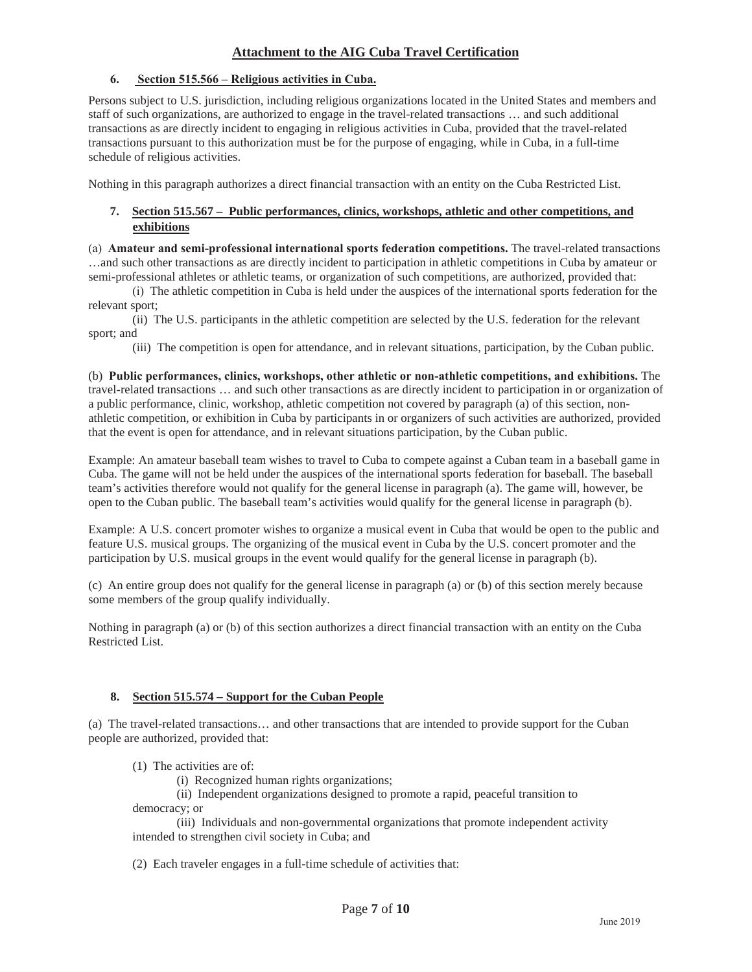### **6. Section 515.566 – Religious activities in Cuba.**

Persons subject to U.S. jurisdiction, including religious organizations located in the United States and members and staff of such organizations, are authorized to engage in the travel-related transactions … and such additional transactions as are directly incident to engaging in religious activities in Cuba, provided that the travel-related transactions pursuant to this authorization must be for the purpose of engaging, while in Cuba, in a full-time schedule of religious activities.

Nothing in this paragraph authorizes a direct financial transaction with an entity on the Cuba Restricted List.

### **7. Section 515.567 – Public performances, clinics, workshops, athletic and other competitions, and exhibitions**

(a) **Amateur and semi-professional international sports federation competitions.** The travel-related transactions …and such other transactions as are directly incident to participation in athletic competitions in Cuba by amateur or semi-professional athletes or athletic teams, or organization of such competitions, are authorized, provided that:

(i) The athletic competition in Cuba is held under the auspices of the international sports federation for the relevant sport;

(ii) The U.S. participants in the athletic competition are selected by the U.S. federation for the relevant sport; and

(iii) The competition is open for attendance, and in relevant situations, participation, by the Cuban public.

(b) **Public performances, clinics, workshops, other athletic or non-athletic competitions, and exhibitions.** The travel-related transactions … and such other transactions as are directly incident to participation in or organization of a public performance, clinic, workshop, athletic competition not covered by paragraph (a) of this section, nonathletic competition, or exhibition in Cuba by participants in or organizers of such activities are authorized, provided that the event is open for attendance, and in relevant situations participation, by the Cuban public.

Example: An amateur baseball team wishes to travel to Cuba to compete against a Cuban team in a baseball game in Cuba. The game will not be held under the auspices of the international sports federation for baseball. The baseball team's activities therefore would not qualify for the general license in paragraph (a). The game will, however, be open to the Cuban public. The baseball team's activities would qualify for the general license in paragraph (b).

Example: A U.S. concert promoter wishes to organize a musical event in Cuba that would be open to the public and feature U.S. musical groups. The organizing of the musical event in Cuba by the U.S. concert promoter and the participation by U.S. musical groups in the event would qualify for the general license in paragraph (b).

(c) An entire group does not qualify for the general license in paragraph (a) or (b) of this section merely because some members of the group qualify individually.

Nothing in paragraph (a) or (b) of this section authorizes a direct financial transaction with an entity on the Cuba Restricted List.

#### **8. Section 515.574 – Support for the Cuban People**

(a) The travel-related transactions… and other transactions that are intended to provide support for the Cuban people are authorized, provided that:

(1) The activities are of:

(i) Recognized human rights organizations;

(ii) Independent organizations designed to promote a rapid, peaceful transition to

democracy; or

(iii) Individuals and non-governmental organizations that promote independent activity intended to strengthen civil society in Cuba; and

(2) Each traveler engages in a full-time schedule of activities that: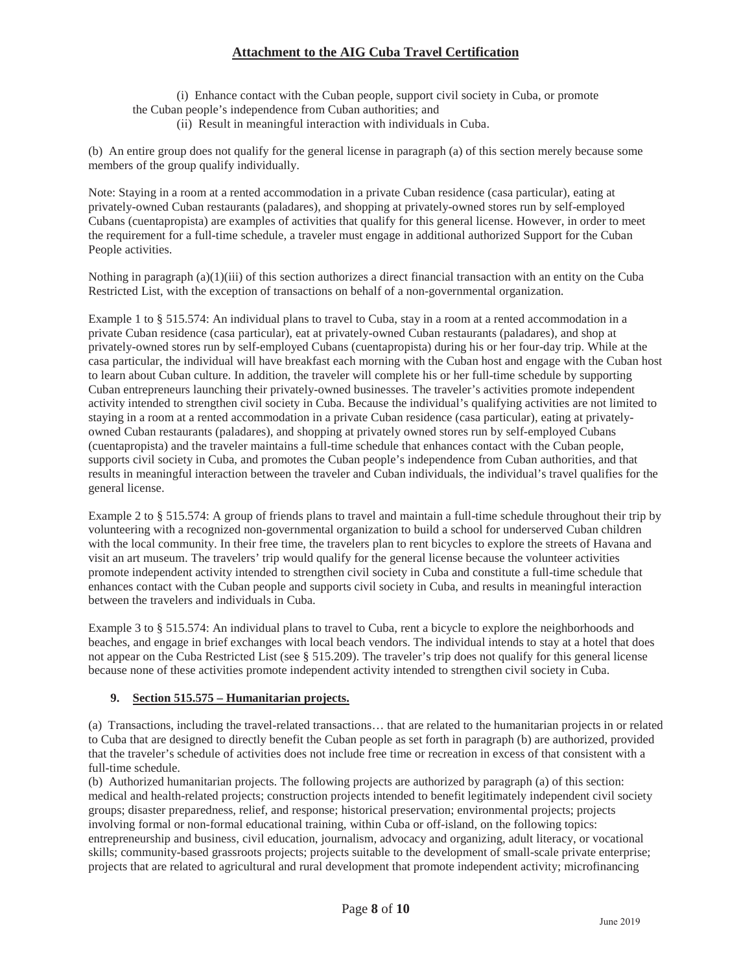(i) Enhance contact with the Cuban people, support civil society in Cuba, or promote the Cuban people's independence from Cuban authorities; and

(ii) Result in meaningful interaction with individuals in Cuba.

(b) An entire group does not qualify for the general license in paragraph (a) of this section merely because some members of the group qualify individually.

Note: Staying in a room at a rented accommodation in a private Cuban residence (casa particular), eating at privately-owned Cuban restaurants (paladares), and shopping at privately-owned stores run by self-employed Cubans (cuentapropista) are examples of activities that qualify for this general license. However, in order to meet the requirement for a full-time schedule, a traveler must engage in additional authorized Support for the Cuban People activities.

Nothing in paragraph  $(a)(1)(iii)$  of this section authorizes a direct financial transaction with an entity on the Cuba Restricted List, with the exception of transactions on behalf of a non-governmental organization.

Example 1 to § 515.574: An individual plans to travel to Cuba, stay in a room at a rented accommodation in a private Cuban residence (casa particular), eat at privately-owned Cuban restaurants (paladares), and shop at privately-owned stores run by self-employed Cubans (cuentapropista) during his or her four-day trip. While at the casa particular, the individual will have breakfast each morning with the Cuban host and engage with the Cuban host to learn about Cuban culture. In addition, the traveler will complete his or her full-time schedule by supporting Cuban entrepreneurs launching their privately-owned businesses. The traveler's activities promote independent activity intended to strengthen civil society in Cuba. Because the individual's qualifying activities are not limited to staying in a room at a rented accommodation in a private Cuban residence (casa particular), eating at privatelyowned Cuban restaurants (paladares), and shopping at privately owned stores run by self-employed Cubans (cuentapropista) and the traveler maintains a full-time schedule that enhances contact with the Cuban people, supports civil society in Cuba, and promotes the Cuban people's independence from Cuban authorities, and that results in meaningful interaction between the traveler and Cuban individuals, the individual's travel qualifies for the general license.

Example 2 to § 515.574: A group of friends plans to travel and maintain a full-time schedule throughout their trip by volunteering with a recognized non-governmental organization to build a school for underserved Cuban children with the local community. In their free time, the travelers plan to rent bicycles to explore the streets of Havana and visit an art museum. The travelers' trip would qualify for the general license because the volunteer activities promote independent activity intended to strengthen civil society in Cuba and constitute a full-time schedule that enhances contact with the Cuban people and supports civil society in Cuba, and results in meaningful interaction between the travelers and individuals in Cuba.

Example 3 to § 515.574: An individual plans to travel to Cuba, rent a bicycle to explore the neighborhoods and beaches, and engage in brief exchanges with local beach vendors. The individual intends to stay at a hotel that does not appear on the Cuba Restricted List (see § 515.209). The traveler's trip does not qualify for this general license because none of these activities promote independent activity intended to strengthen civil society in Cuba.

### **9. Section 515.575 – Humanitarian projects.**

(a) Transactions, including the travel-related transactions… that are related to the humanitarian projects in or related to Cuba that are designed to directly benefit the Cuban people as set forth in paragraph (b) are authorized, provided that the traveler's schedule of activities does not include free time or recreation in excess of that consistent with a full-time schedule.

(b) Authorized humanitarian projects. The following projects are authorized by paragraph (a) of this section: medical and health-related projects; construction projects intended to benefit legitimately independent civil society groups; disaster preparedness, relief, and response; historical preservation; environmental projects; projects involving formal or non-formal educational training, within Cuba or off-island, on the following topics: entrepreneurship and business, civil education, journalism, advocacy and organizing, adult literacy, or vocational skills; community-based grassroots projects; projects suitable to the development of small-scale private enterprise; projects that are related to agricultural and rural development that promote independent activity; microfinancing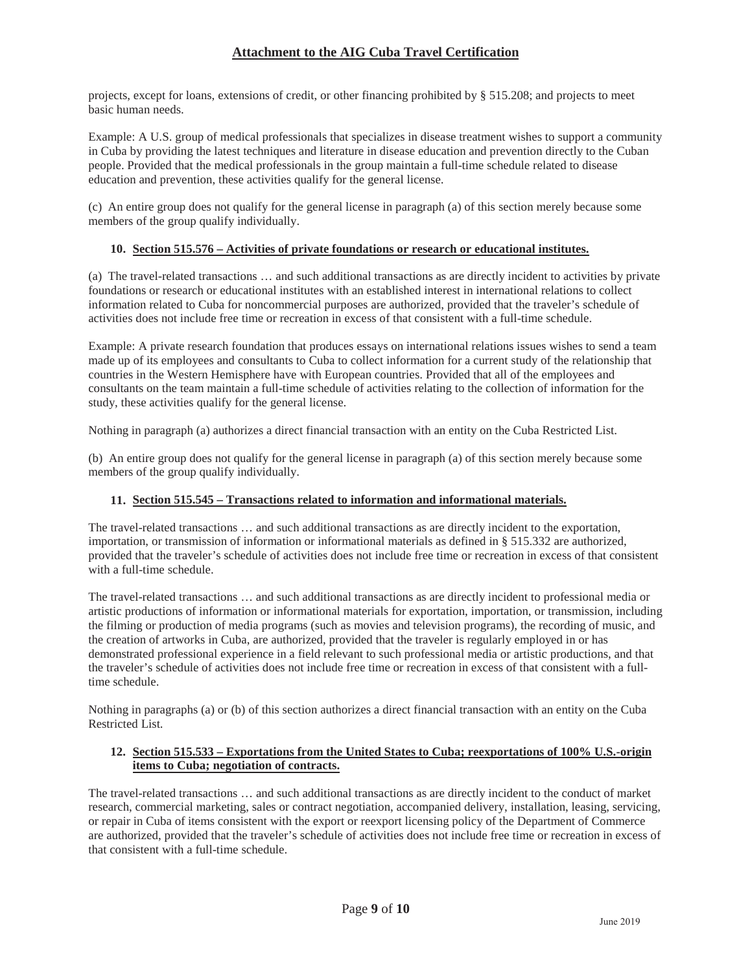projects, except for loans, extensions of credit, or other financing prohibited by § 515.208; and projects to meet basic human needs.

Example: A U.S. group of medical professionals that specializes in disease treatment wishes to support a community in Cuba by providing the latest techniques and literature in disease education and prevention directly to the Cuban people. Provided that the medical professionals in the group maintain a full-time schedule related to disease education and prevention, these activities qualify for the general license.

(c) An entire group does not qualify for the general license in paragraph (a) of this section merely because some members of the group qualify individually.

### **10. Section 515.576 – Activities of private foundations or research or educational institutes.**

(a) The travel-related transactions … and such additional transactions as are directly incident to activities by private foundations or research or educational institutes with an established interest in international relations to collect information related to Cuba for noncommercial purposes are authorized, provided that the traveler's schedule of activities does not include free time or recreation in excess of that consistent with a full-time schedule.

Example: A private research foundation that produces essays on international relations issues wishes to send a team made up of its employees and consultants to Cuba to collect information for a current study of the relationship that countries in the Western Hemisphere have with European countries. Provided that all of the employees and consultants on the team maintain a full-time schedule of activities relating to the collection of information for the study, these activities qualify for the general license.

Nothing in paragraph (a) authorizes a direct financial transaction with an entity on the Cuba Restricted List.

(b) An entire group does not qualify for the general license in paragraph (a) of this section merely because some members of the group qualify individually.

### **11. Section 515.545 – Transactions related to information and informational materials.**

The travel-related transactions … and such additional transactions as are directly incident to the exportation, importation, or transmission of information or informational materials as defined in § 515.332 are authorized, provided that the traveler's schedule of activities does not include free time or recreation in excess of that consistent with a full-time schedule.

The travel-related transactions … and such additional transactions as are directly incident to professional media or artistic productions of information or informational materials for exportation, importation, or transmission, including the filming or production of media programs (such as movies and television programs), the recording of music, and the creation of artworks in Cuba, are authorized, provided that the traveler is regularly employed in or has demonstrated professional experience in a field relevant to such professional media or artistic productions, and that the traveler's schedule of activities does not include free time or recreation in excess of that consistent with a fulltime schedule.

Nothing in paragraphs (a) or (b) of this section authorizes a direct financial transaction with an entity on the Cuba Restricted List.

### **12. Section 515.533 – Exportations from the United States to Cuba; reexportations of 100% U.S.-origin items to Cuba; negotiation of contracts.**

The travel-related transactions … and such additional transactions as are directly incident to the conduct of market research, commercial marketing, sales or contract negotiation, accompanied delivery, installation, leasing, servicing, or repair in Cuba of items consistent with the export or reexport licensing policy of the Department of Commerce are authorized, provided that the traveler's schedule of activities does not include free time or recreation in excess of that consistent with a full-time schedule.